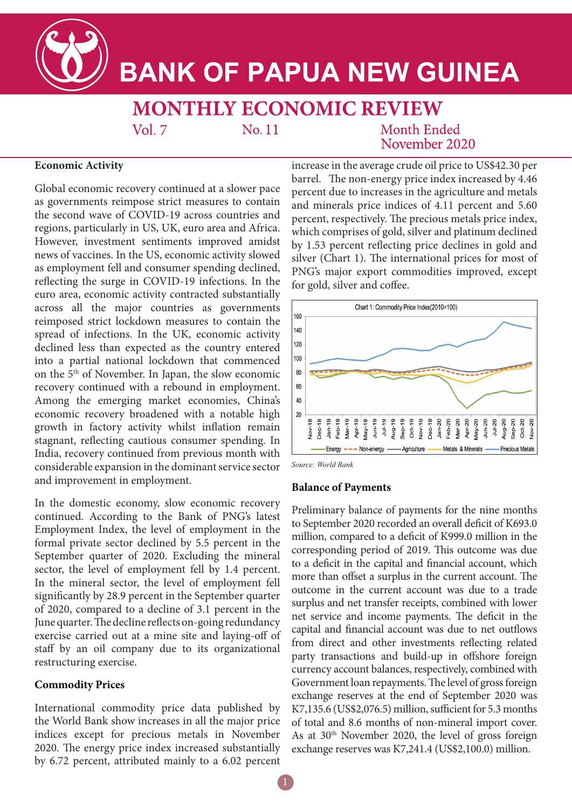

# **BANK OF PAPUA NEW GUINEA**

**MONTHLY ECONOMIC REVIEW**  $Vol. 7$ 

No. 11

Month Ended November 2020

# **Economic Activity**

Global economic recovery continued at a slower pace as governments reimpose strict measures to contain the second wave of COVID-19 across countries and regions, particularly in US, UK, euro area and Africa. However, investment sentiments improved amidst news of vaccines. In the US, economic activity slowed as employment fell and consumer spending declined, reflecting the surge in COVID-19 infections. In the euro area, economic activity contracted substantially across all the major countries as governments reimposed strict lockdown measures to contain the spread of infections. In the UK, economic activity declined less than expected as the country entered into a partial national lockdown that commenced on the  $5<sup>th</sup>$  of November. In Japan, the slow economic recovery continued with a rebound in employment. Among the emerging market economies, China's economic recovery broadened with a notable high growth in factory activity whilst inflation remain stagnant, reflecting cautious consumer spending. In India, recovery continued from previous month with considerable expansion in the dominant service sector and improvement in employment.

In the domestic economy, slow economic recovery continued. According to the Bank of PNG's latest Employment Index, the level of employment in the formal private sector declined by 5.5 percent in the September quarter of 2020. Excluding the mineral sector, the level of employment fell by 1.4 percent. In the mineral sector, the level of employment fell significantly by 28.9 percent in the September quarter of 2020, compared to a decline of 3.1 percent in the June quarter. The decline reflects on-going redundancy exercise carried out at a mine site and laying-off of staff by an oil company due to its organizational restructuring exercise.

## **Commodity Prices**

International commodity price data published by the World Bank show increases in all the major price indices except for precious metals in November 2020. The energy price index increased substantially by 6.72 percent, attributed mainly to a 6.02 percent

increase in the average crude oil price to US\$42.30 per barrel. The non-energy price index increased by 4.46 percent due to increases in the agriculture and metals and minerals price indices of 4.11 percent and 5.60 percent, respectively. The precious metals price index, which comprises of gold, silver and platinum declined by 1.53 percent reflecting price declines in gold and silver (Chart 1). The international prices for most of PNG's major export commodities improved, except for gold, silver and coffee.



*Source: World Bank*

## **Balance of Payments**

Preliminary balance of payments for the nine months to September 2020 recorded an overall deficit of K693.0 million, compared to a deficit of K999.0 million in the corresponding period of 2019. This outcome was due to a deficit in the capital and financial account, which more than offset a surplus in the current account. The outcome in the current account was due to a trade surplus and net transfer receipts, combined with lower net service and income payments. The deficit in the capital and financial account was due to net outflows from direct and other investments reflecting related party transactions and build-up in offshore foreign currency account balances, respectively, combined with Government loan repayments. The level of gross foreign exchange reserves at the end of September 2020 was K7,135.6 (US\$2,076.5) million, sufficient for 5.3 months of total and 8.6 months of non-mineral import cover. As at 30th November 2020, the level of gross foreign exchange reserves was K7,241.4 (US\$2,100.0) million.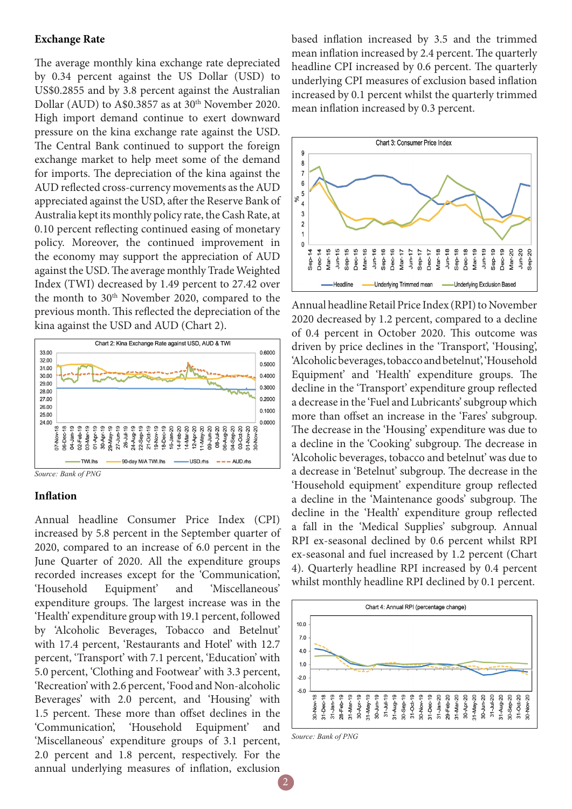#### **Exchange Rate**

The average monthly kina exchange rate depreciated by 0.34 percent against the US Dollar (USD) to US\$0.2855 and by 3.8 percent against the Australian Dollar (AUD) to A\$0.3857 as at 30<sup>th</sup> November 2020. High import demand continue to exert downward pressure on the kina exchange rate against the USD. The Central Bank continued to support the foreign exchange market to help meet some of the demand for imports. The depreciation of the kina against the AUD reflected cross-currency movements as the AUD appreciated against the USD, after the Reserve Bank of Australia kept its monthly policy rate, the Cash Rate, at 0.10 percent reflecting continued easing of monetary policy. Moreover, the continued improvement in the economy may support the appreciation of AUD against the USD. The average monthly Trade Weighted Index (TWI) decreased by 1.49 percent to 27.42 over the month to 30<sup>th</sup> November 2020, compared to the previous month. This reflected the depreciation of the kina against the USD and AUD (Chart 2).



#### **Inflation**

Annual headline Consumer Price Index (CPI) increased by 5.8 percent in the September quarter of 2020, compared to an increase of 6.0 percent in the June Quarter of 2020. All the expenditure groups recorded increases except for the 'Communication', 'Household Equipment' and 'Miscellaneous' expenditure groups. The largest increase was in the 'Health' expenditure group with 19.1 percent, followed by 'Alcoholic Beverages, Tobacco and Betelnut' with 17.4 percent, 'Restaurants and Hotel' with 12.7 percent, 'Transport' with 7.1 percent, 'Education' with 5.0 percent, 'Clothing and Footwear' with 3.3 percent, 'Recreation' with 2.6 percent, 'Food and Non-alcoholic Beverages' with 2.0 percent, and 'Housing' with 1.5 percent. These more than offset declines in the 'Communication', 'Household Equipment' and 'Miscellaneous' expenditure groups of 3.1 percent, 2.0 percent and 1.8 percent, respectively. For the annual underlying measures of inflation, exclusion

based inflation increased by 3.5 and the trimmed mean inflation increased by 2.4 percent. The quarterly headline CPI increased by 0.6 percent. The quarterly underlying CPI measures of exclusion based inflation increased by 0.1 percent whilst the quarterly trimmed mean inflation increased by 0.3 percent.



Annual headline Retail Price Index (RPI) to November 2020 decreased by 1.2 percent, compared to a decline of 0.4 percent in October 2020. This outcome was driven by price declines in the 'Transport', 'Housing', 'Alcoholic beverages, tobacco and betelnut', 'Household Equipment' and 'Health' expenditure groups. The decline in the 'Transport' expenditure group reflected a decrease in the 'Fuel and Lubricants' subgroup which more than offset an increase in the 'Fares' subgroup. The decrease in the 'Housing' expenditure was due to a decline in the 'Cooking' subgroup. The decrease in 'Alcoholic beverages, tobacco and betelnut' was due to a decrease in 'Betelnut' subgroup. The decrease in the 'Household equipment' expenditure group reflected a decline in the 'Maintenance goods' subgroup. The decline in the 'Health' expenditure group reflected a fall in the 'Medical Supplies' subgroup. Annual RPI ex-seasonal declined by 0.6 percent whilst RPI ex-seasonal and fuel increased by 1.2 percent (Chart 4). Quarterly headline RPI increased by 0.4 percent whilst monthly headline RPI declined by 0.1 percent.



*Source: Bank of PNG*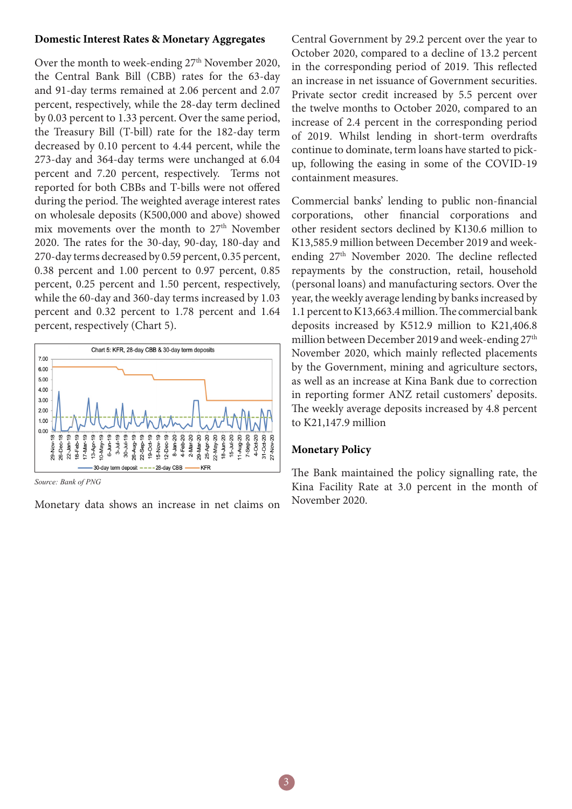### **Domestic Interest Rates & Monetary Aggregates**

Over the month to week-ending 27<sup>th</sup> November 2020, the Central Bank Bill (CBB) rates for the 63-day and 91-day terms remained at 2.06 percent and 2.07 percent, respectively, while the 28-day term declined by 0.03 percent to 1.33 percent. Over the same period, the Treasury Bill (T-bill) rate for the 182-day term decreased by 0.10 percent to 4.44 percent, while the 273-day and 364-day terms were unchanged at 6.04 percent and 7.20 percent, respectively. Terms not reported for both CBBs and T-bills were not offered during the period. The weighted average interest rates on wholesale deposits (K500,000 and above) showed mix movements over the month to 27<sup>th</sup> November 2020. The rates for the 30-day, 90-day, 180-day and 270-day terms decreased by 0.59 percent, 0.35 percent, 0.38 percent and 1.00 percent to 0.97 percent, 0.85 percent, 0.25 percent and 1.50 percent, respectively, while the 60-day and 360-day terms increased by 1.03 percent and 0.32 percent to 1.78 percent and 1.64 percent, respectively (Chart 5).



*Source: Bank of PNG*

Monetary data shows an increase in net claims on

Central Government by 29.2 percent over the year to October 2020, compared to a decline of 13.2 percent in the corresponding period of 2019. This reflected an increase in net issuance of Government securities. Private sector credit increased by 5.5 percent over the twelve months to October 2020, compared to an increase of 2.4 percent in the corresponding period of 2019. Whilst lending in short-term overdrafts continue to dominate, term loans have started to pickup, following the easing in some of the COVID-19 containment measures.

Commercial banks' lending to public non-financial corporations, other financial corporations and other resident sectors declined by K130.6 million to K13,585.9 million between December 2019 and weekending 27<sup>th</sup> November 2020. The decline reflected repayments by the construction, retail, household (personal loans) and manufacturing sectors. Over the year, the weekly average lending by banks increased by 1.1 percent to K13,663.4 million. The commercial bank deposits increased by K512.9 million to K21,406.8 million between December 2019 and week-ending 27<sup>th</sup> November 2020, which mainly reflected placements by the Government, mining and agriculture sectors, as well as an increase at Kina Bank due to correction in reporting former ANZ retail customers' deposits. The weekly average deposits increased by 4.8 percent to K21,147.9 million

## **Monetary Policy**

The Bank maintained the policy signalling rate, the Kina Facility Rate at 3.0 percent in the month of November 2020.